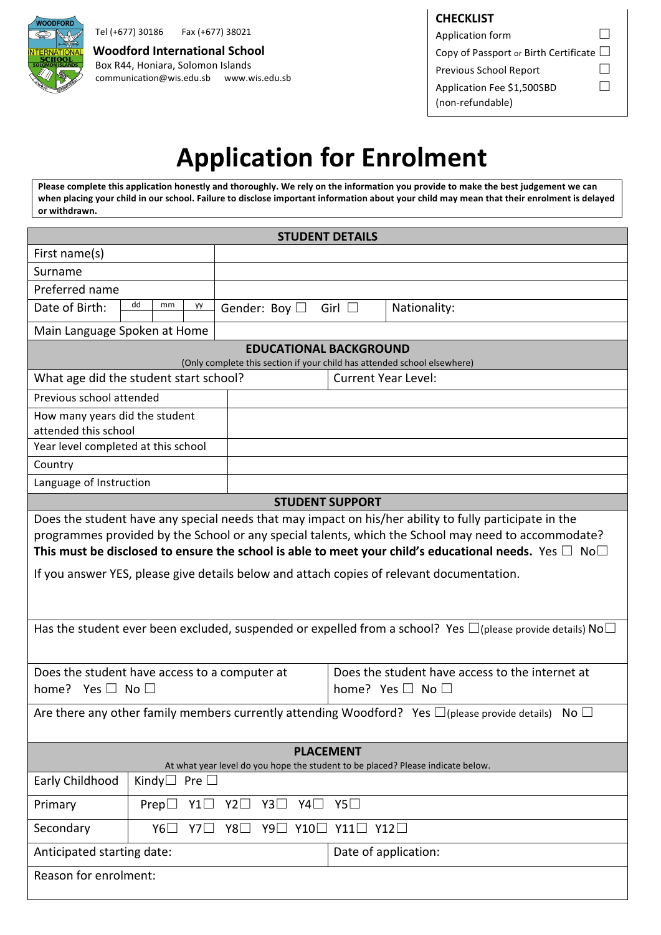

Tel (+677) 30186 Fax (+677) 38021

communication@wis.edu.sb www.wis.edu.sb **Woodford International School** Box R44, Honiara, Solomon Islands

| <b>CHECKLIST</b>                             |  |
|----------------------------------------------|--|
| Application form                             |  |
| Copy of Passport or Birth Certificate $\Box$ |  |
| Previous School Report                       |  |
| Application Fee \$1,500SBD                   |  |
| (non-refundable)                             |  |

# **Application for Enrolment**

Please complete this application honestly and thoroughly. We rely on the information you provide to make the best judgement we can when placing your child in our school. Failure to disclose important information about your child may mean that their enrolment is delayed **or withdrawn.**

| <b>STUDENT DETAILS</b>                                                                                                                                                                                                                                                                                                                                                                                                         |                                                      |    |                                                                               |                        |                            |
|--------------------------------------------------------------------------------------------------------------------------------------------------------------------------------------------------------------------------------------------------------------------------------------------------------------------------------------------------------------------------------------------------------------------------------|------------------------------------------------------|----|-------------------------------------------------------------------------------|------------------------|----------------------------|
| First name(s)                                                                                                                                                                                                                                                                                                                                                                                                                  |                                                      |    |                                                                               |                        |                            |
| Surname                                                                                                                                                                                                                                                                                                                                                                                                                        |                                                      |    |                                                                               |                        |                            |
| Preferred name                                                                                                                                                                                                                                                                                                                                                                                                                 |                                                      |    |                                                                               |                        |                            |
| Date of Birth:                                                                                                                                                                                                                                                                                                                                                                                                                 | dd<br>mm                                             | уу | Gender: Boy $\Box$                                                            | Girl $\Box$            | Nationality:               |
| Main Language Spoken at Home                                                                                                                                                                                                                                                                                                                                                                                                   |                                                      |    |                                                                               |                        |                            |
| <b>EDUCATIONAL BACKGROUND</b><br>(Only complete this section if your child has attended school elsewhere)                                                                                                                                                                                                                                                                                                                      |                                                      |    |                                                                               |                        |                            |
| What age did the student start school?                                                                                                                                                                                                                                                                                                                                                                                         |                                                      |    |                                                                               |                        | <b>Current Year Level:</b> |
| Previous school attended                                                                                                                                                                                                                                                                                                                                                                                                       |                                                      |    |                                                                               |                        |                            |
| How many years did the student<br>attended this school                                                                                                                                                                                                                                                                                                                                                                         |                                                      |    |                                                                               |                        |                            |
| Year level completed at this school                                                                                                                                                                                                                                                                                                                                                                                            |                                                      |    |                                                                               |                        |                            |
| Country                                                                                                                                                                                                                                                                                                                                                                                                                        |                                                      |    |                                                                               |                        |                            |
| Language of Instruction                                                                                                                                                                                                                                                                                                                                                                                                        |                                                      |    |                                                                               |                        |                            |
|                                                                                                                                                                                                                                                                                                                                                                                                                                |                                                      |    |                                                                               | <b>STUDENT SUPPORT</b> |                            |
| Does the student have any special needs that may impact on his/her ability to fully participate in the<br>programmes provided by the School or any special talents, which the School may need to accommodate?<br>This must be disclosed to ensure the school is able to meet your child's educational needs. Yes $\Box$ No $\Box$<br>If you answer YES, please give details below and attach copies of relevant documentation. |                                                      |    |                                                                               |                        |                            |
| Has the student ever been excluded, suspended or expelled from a school? Yes $\Box$ (please provide details) No $\Box$                                                                                                                                                                                                                                                                                                         |                                                      |    |                                                                               |                        |                            |
| Does the student have access to a computer at<br>home? Yes $\square$ No $\square$                                                                                                                                                                                                                                                                                                                                              |                                                      |    | Does the student have access to the internet at<br>home? Yes $\Box$ No $\Box$ |                        |                            |
| Are there any other family members currently attending Woodford? Yes $\Box$ (please provide details) No $\Box$                                                                                                                                                                                                                                                                                                                 |                                                      |    |                                                                               |                        |                            |
| <b>PLACEMENT</b><br>At what year level do you hope the student to be placed? Please indicate below.                                                                                                                                                                                                                                                                                                                            |                                                      |    |                                                                               |                        |                            |
| Early Childhood                                                                                                                                                                                                                                                                                                                                                                                                                | Kindy $\Box$ Pre $\Box$                              |    |                                                                               |                        |                            |
| Primary                                                                                                                                                                                                                                                                                                                                                                                                                        | Y4□ Y5□<br>Y2 $\square$<br>Ү3□<br>Y1□<br>$Prep \Box$ |    |                                                                               |                        |                            |
| Secondary                                                                                                                                                                                                                                                                                                                                                                                                                      | Y8□ Y9□ Y10□ Y11□ Y12□<br>$Y6\Box$<br>Y7 $\Box$      |    |                                                                               |                        |                            |
|                                                                                                                                                                                                                                                                                                                                                                                                                                | Anticipated starting date:                           |    |                                                                               | Date of application:   |                            |
| Reason for enrolment:                                                                                                                                                                                                                                                                                                                                                                                                          |                                                      |    |                                                                               |                        |                            |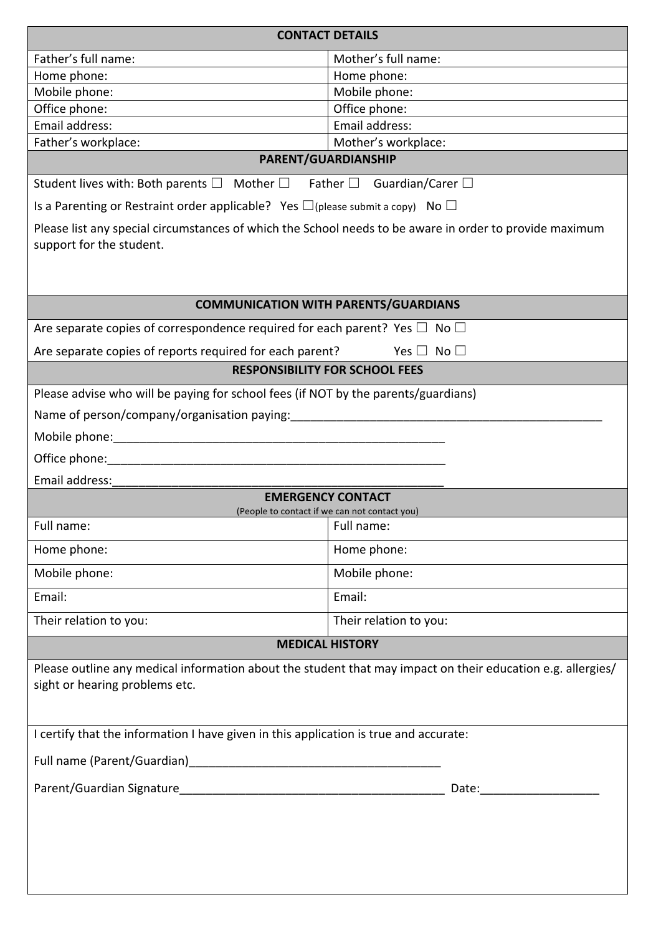| <b>CONTACT DETAILS</b>                                                                                                              |                                                                                                                                                                                                                                |  |
|-------------------------------------------------------------------------------------------------------------------------------------|--------------------------------------------------------------------------------------------------------------------------------------------------------------------------------------------------------------------------------|--|
| Father's full name:                                                                                                                 | Mother's full name:                                                                                                                                                                                                            |  |
| Home phone:                                                                                                                         | Home phone:                                                                                                                                                                                                                    |  |
| Mobile phone:                                                                                                                       | Mobile phone:                                                                                                                                                                                                                  |  |
| Office phone:<br>Email address:                                                                                                     | Office phone:<br>Email address:                                                                                                                                                                                                |  |
| Father's workplace:                                                                                                                 | Mother's workplace:                                                                                                                                                                                                            |  |
|                                                                                                                                     | PARENT/GUARDIANSHIP                                                                                                                                                                                                            |  |
| Student lives with: Both parents $\Box$ Mother $\Box$ Father $\Box$ Guardian/Carer $\Box$                                           |                                                                                                                                                                                                                                |  |
| Is a Parenting or Restraint order applicable? Yes $\square$ (please submit a copy) No $\square$                                     |                                                                                                                                                                                                                                |  |
| Please list any special circumstances of which the School needs to be aware in order to provide maximum<br>support for the student. |                                                                                                                                                                                                                                |  |
|                                                                                                                                     | <b>COMMUNICATION WITH PARENTS/GUARDIANS</b>                                                                                                                                                                                    |  |
| Are separate copies of correspondence required for each parent? Yes $\Box$ No $\Box$                                                |                                                                                                                                                                                                                                |  |
| Are separate copies of reports required for each parent?<br>Yes $\Box$ No $\Box$                                                    |                                                                                                                                                                                                                                |  |
| <b>RESPONSIBILITY FOR SCHOOL FEES</b>                                                                                               |                                                                                                                                                                                                                                |  |
| Please advise who will be paying for school fees (if NOT by the parents/guardians)                                                  |                                                                                                                                                                                                                                |  |
| Name of person/company/organisation paying:                                                                                         |                                                                                                                                                                                                                                |  |
|                                                                                                                                     |                                                                                                                                                                                                                                |  |
|                                                                                                                                     |                                                                                                                                                                                                                                |  |
| Email address:                                                                                                                      |                                                                                                                                                                                                                                |  |
|                                                                                                                                     | <b>EMERGENCY CONTACT</b><br>(People to contact if we can not contact you)                                                                                                                                                      |  |
| Full name:                                                                                                                          | Full name:                                                                                                                                                                                                                     |  |
| Home phone:                                                                                                                         | Home phone:                                                                                                                                                                                                                    |  |
| Mobile phone:<br>Mobile phone:                                                                                                      |                                                                                                                                                                                                                                |  |
| Email:                                                                                                                              | Email:                                                                                                                                                                                                                         |  |
| Their relation to you:                                                                                                              | Their relation to you:                                                                                                                                                                                                         |  |
|                                                                                                                                     | <b>MEDICAL HISTORY</b>                                                                                                                                                                                                         |  |
| sight or hearing problems etc.                                                                                                      | Please outline any medical information about the student that may impact on their education e.g. allergies/                                                                                                                    |  |
| I certify that the information I have given in this application is true and accurate:                                               |                                                                                                                                                                                                                                |  |
|                                                                                                                                     |                                                                                                                                                                                                                                |  |
|                                                                                                                                     | Date: the contract of the contract of the contract of the contract of the contract of the contract of the contract of the contract of the contract of the contract of the contract of the contract of the contract of the cont |  |
|                                                                                                                                     |                                                                                                                                                                                                                                |  |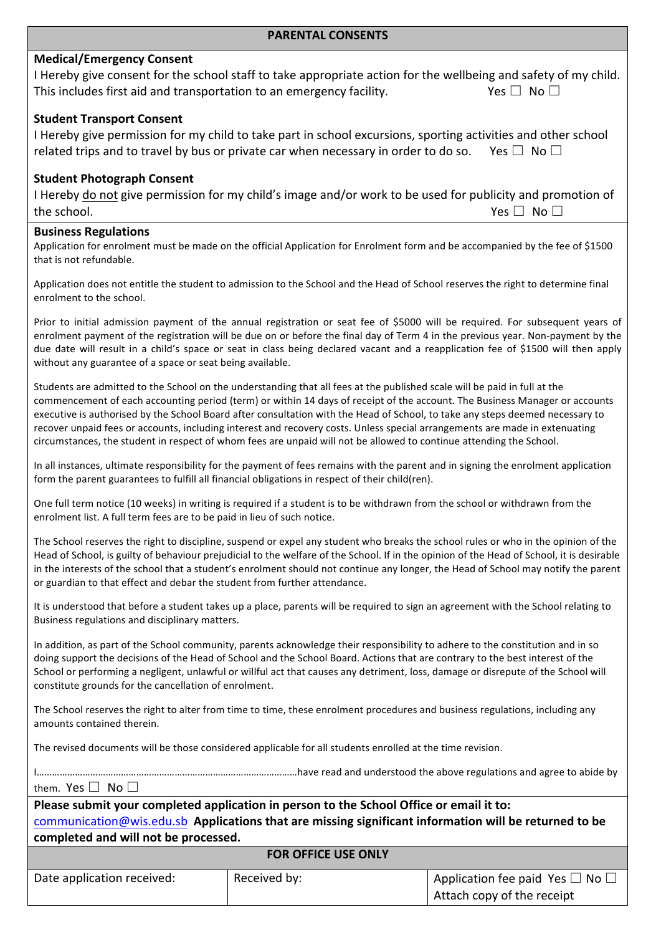### **Medical/Emergency Consent**

|                                                                      | I Hereby give consent for the school staff to take appropriate action for the wellbeing and safety of my child. |
|----------------------------------------------------------------------|-----------------------------------------------------------------------------------------------------------------|
| This includes first aid and transportation to an emergency facility. | Yes $\Box$ No $\Box$                                                                                            |

#### **Student Transport Consent**

| I Hereby give permission for my child to take part in school excursions, sporting activities and other school |                      |
|---------------------------------------------------------------------------------------------------------------|----------------------|
| related trips and to travel by bus or private car when necessary in order to do so.                           | Yes $\Box$ No $\Box$ |

#### **Student Photograph Consent**

I Hereby do not give permission for my child's image and/or work to be used for publicity and promotion of the school. Yes ☐ No ☐

#### **Business Regulations**

Application for enrolment must be made on the official Application for Enrolment form and be accompanied by the fee of \$1500 that is not refundable.

Application does not entitle the student to admission to the School and the Head of School reserves the right to determine final enrolment to the school.

Prior to initial admission payment of the annual registration or seat fee of \$5000 will be required. For subsequent years of enrolment payment of the registration will be due on or before the final day of Term 4 in the previous year. Non-payment by the due date will result in a child's space or seat in class being declared vacant and a reapplication fee of \$1500 will then apply without any guarantee of a space or seat being available.

Students are admitted to the School on the understanding that all fees at the published scale will be paid in full at the commencement of each accounting period (term) or within 14 days of receipt of the account. The Business Manager or accounts executive is authorised by the School Board after consultation with the Head of School, to take any steps deemed necessary to recover unpaid fees or accounts, including interest and recovery costs. Unless special arrangements are made in extenuating circumstances, the student in respect of whom fees are unpaid will not be allowed to continue attending the School.

In all instances, ultimate responsibility for the payment of fees remains with the parent and in signing the enrolment application form the parent guarantees to fulfill all financial obligations in respect of their child(ren).

One full term notice (10 weeks) in writing is required if a student is to be withdrawn from the school or withdrawn from the enrolment list. A full term fees are to be paid in lieu of such notice.

The School reserves the right to discipline, suspend or expel any student who breaks the school rules or who in the opinion of the Head of School, is guilty of behaviour prejudicial to the welfare of the School. If in the opinion of the Head of School, it is desirable in the interests of the school that a student's enrolment should not continue any longer, the Head of School may notify the parent or guardian to that effect and debar the student from further attendance.

It is understood that before a student takes up a place, parents will be required to sign an agreement with the School relating to Business regulations and disciplinary matters.

In addition, as part of the School community, parents acknowledge their responsibility to adhere to the constitution and in so doing support the decisions of the Head of School and the School Board. Actions that are contrary to the best interest of the School or performing a negligent, unlawful or willful act that causes any detriment, loss, damage or disrepute of the School will constitute grounds for the cancellation of enrolment.

The School reserves the right to alter from time to time, these enrolment procedures and business regulations, including any amounts contained therein.

The revised documents will be those considered applicable for all students enrolled at the time revision.

I…………………………………………………………………………………………have read and understood the above regulations and agree to abide by them. Yes □ No □

## Please submit your completed application in person to the School Office or email it to: communication@wis.edu.sb Applications that are missing significant information will be returned to be **completed and will not be processed.**

| <b>FOR OFFICE USE ONLY</b> |              |                                           |
|----------------------------|--------------|-------------------------------------------|
| Date application received: | Received by: | Application fee paid Yes $\Box$ No $\Box$ |
|                            |              | Attach copy of the receipt                |